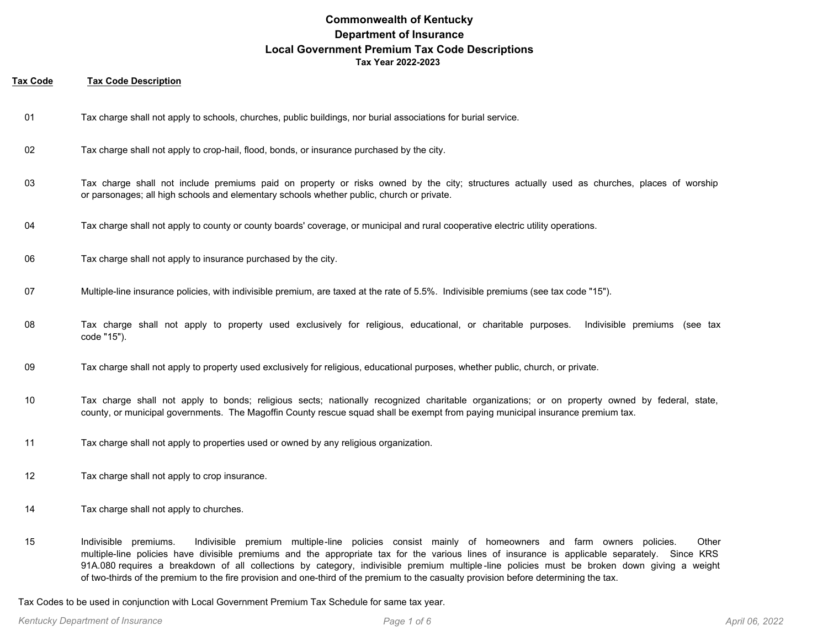#### **Tax Code Tax Code Description**

- 01 Tax charge shall not apply to schools, churches, public buildings, nor burial associations for burial service.
- 02 Tax charge shall not apply to crop-hail, flood, bonds, or insurance purchased by the city.
- Tax charge shall not include premiums paid on property or risks owned by the city; structures actually used as churches, places of worship or parsonages; all high schools and elementary schools whether public, church or private. 03
- 04 Tax charge shall not apply to county or county boards' coverage, or municipal and rural cooperative electric utility operations.
- 06 Tax charge shall not apply to insurance purchased by the city.
- 07 Multiple-line insurance policies, with indivisible premium, are taxed at the rate of 5.5%. Indivisible premiums (see tax code "15").
- Tax charge shall not apply to property used exclusively for religious, educational, or charitable purposes. Indivisible premiums (see tax code "15"). 08
- 09 Tax charge shall not apply to property used exclusively for religious, educational purposes, whether public, church, or private.
- Tax charge shall not apply to bonds; religious sects; nationally recognized charitable organizations; or on property owned by federal, state, county, or municipal governments. The Magoffin County rescue squad shall be exempt from paying municipal insurance premium tax. 10
- 11 Tax charge shall not apply to properties used or owned by any religious organization.
- 12 Tax charge shall not apply to crop insurance.
- 14 Tax charge shall not apply to churches.
- Indivisible premiums. Indivisible premium multiple-line policies consist mainly of homeowners and farm owners policies. Other multiple-line policies have divisible premiums and the appropriate tax for the various lines of insurance is applicable separately. Since KRS 91A.080 requires a breakdown of all collections by category, indivisible premium multiple -line policies must be broken down giving a weight of two-thirds of the premium to the fire provision and one-third of the premium to the casualty provision before determining the tax. 15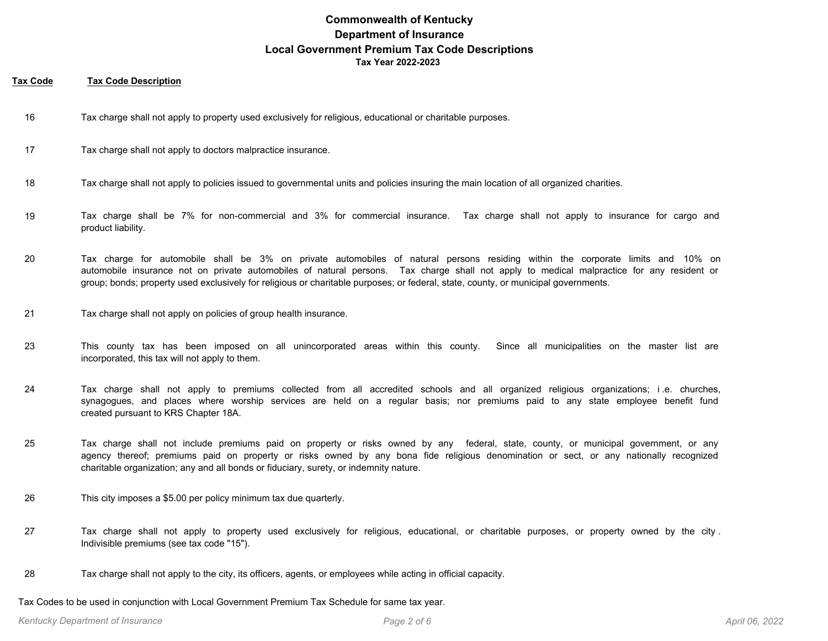#### **Tax Code Tax Code Description**

- 16 Tax charge shall not apply to property used exclusively for religious, educational or charitable purposes.
- 17 Tax charge shall not apply to doctors malpractice insurance.
- 18 Tax charge shall not apply to policies issued to governmental units and policies insuring the main location of all organized charities.
- Tax charge shall be 7% for non-commercial and 3% for commercial insurance. Tax charge shall not apply to insurance for cargo and product liability. 19
- Tax charge for automobile shall be 3% on private automobiles of natural persons residing within the corporate limits and 10% on automobile insurance not on private automobiles of natural persons. Tax charge shall not apply to medical malpractice for any resident or group; bonds; property used exclusively for religious or charitable purposes; or federal, state, county, or municipal governments. 20
- 21 Tax charge shall not apply on policies of group health insurance.
- This county tax has been imposed on all unincorporated areas within this county. Since all municipalities on the master list are incorporated, this tax will not apply to them. 23
- Tax charge shall not apply to premiums collected from all accredited schools and all organized religious organizations; i .e. churches, synagogues, and places where worship services are held on a regular basis; nor premiums paid to any state employee benefit fund created pursuant to KRS Chapter 18A. 24
- Tax charge shall not include premiums paid on property or risks owned by any federal, state, county, or municipal government, or any agency thereof; premiums paid on property or risks owned by any bona fide religious denomination or sect, or any nationally recognized charitable organization; any and all bonds or fiduciary, surety, or indemnity nature. 25
- 26 This city imposes a \$5.00 per policy minimum tax due quarterly.
- Tax charge shall not apply to property used exclusively for religious, educational, or charitable purposes, or property owned by the city . Indivisible premiums (see tax code "15"). 27
- 28 Tax charge shall not apply to the city, its officers, agents, or employees while acting in official capacity.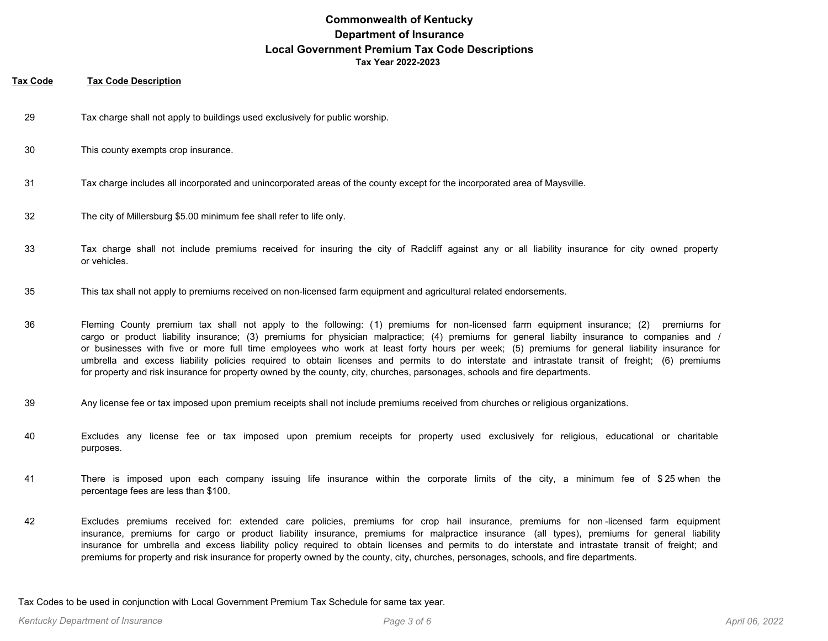#### **Tax Code Tax Code Description**

- 29 Tax charge shall not apply to buildings used exclusively for public worship.
- 30 This county exempts crop insurance.
- 31 Tax charge includes all incorporated and unincorporated areas of the county except for the incorporated area of Maysville.
- 32 The city of Millersburg \$5.00 minimum fee shall refer to life only.
- Tax charge shall not include premiums received for insuring the city of Radcliff against any or all liability insurance for city owned property or vehicles. 33
- 35 This tax shall not apply to premiums received on non-licensed farm equipment and agricultural related endorsements.
- Fleming County premium tax shall not apply to the following: (1) premiums for non-licensed farm equipment insurance; (2) premiums for cargo or product liability insurance; (3) premiums for physician malpractice; (4) premiums for general liabilty insurance to companies and / or businesses with five or more full time employees who work at least forty hours per week; (5) premiums for general liability insurance for umbrella and excess liability policies required to obtain licenses and permits to do interstate and intrastate transit of freight; (6) premiums for property and risk insurance for property owned by the county, city, churches, parsonages, schools and fire departments. 36
- 39 Any license fee or tax imposed upon premium receipts shall not include premiums received from churches or religious organizations.
- Excludes any license fee or tax imposed upon premium receipts for property used exclusively for religious, educational or charitable purposes. 40
- There is imposed upon each company issuing life insurance within the corporate limits of the city, a minimum fee of \$ 25 when the percentage fees are less than \$100. 41
- Excludes premiums received for: extended care policies, premiums for crop hail insurance, premiums for non -licensed farm equipment insurance, premiums for cargo or product liability insurance, premiums for malpractice insurance (all types), premiums for general liability insurance for umbrella and excess liability policy required to obtain licenses and permits to do interstate and intrastate transit of freight; and premiums for property and risk insurance for property owned by the county, city, churches, personages, schools, and fire departments. 42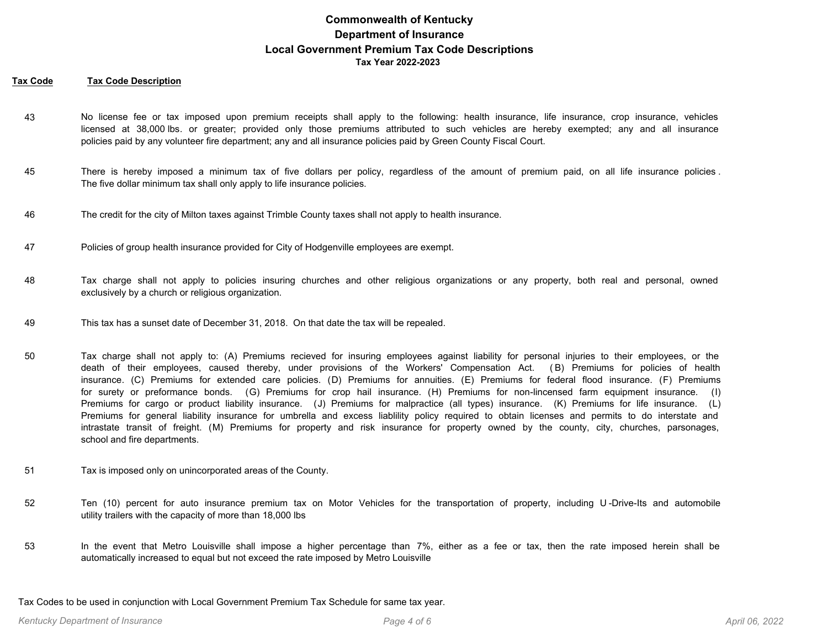#### **Tax Code Tax Code Description**

- No license fee or tax imposed upon premium receipts shall apply to the following: health insurance, life insurance, crop insurance, vehicles licensed at 38,000 lbs. or greater; provided only those premiums attributed to such vehicles are hereby exempted; any and all insurance policies paid by any volunteer fire department; any and all insurance policies paid by Green County Fiscal Court. 43
- There is hereby imposed a minimum tax of five dollars per policy, regardless of the amount of premium paid, on all life insurance policies . The five dollar minimum tax shall only apply to life insurance policies. 45
- 46 The credit for the city of Milton taxes against Trimble County taxes shall not apply to health insurance.
- 47 Policies of group health insurance provided for City of Hodgenville employees are exempt.
- Tax charge shall not apply to policies insuring churches and other religious organizations or any property, both real and personal, owned exclusively by a church or religious organization. 48
- 49 This tax has a sunset date of December 31, 2018. On that date the tax will be repealed.
- Tax charge shall not apply to: (A) Premiums recieved for insuring employees against liability for personal injuries to their employees, or the death of their employees, caused thereby, under provisions of the Workers' Compensation Act. ( B) Premiums for policies of health insurance. (C) Premiums for extended care policies. (D) Premiums for annuities. (E) Premiums for federal flood insurance. (F) Premiums for surety or preformance bonds. (G) Premiums for crop hail insurance. (H) Premiums for non-lincensed farm equipment insurance. (I) Premiums for cargo or product liability insurance. (J) Premiums for malpractice (all types) insurance. (K) Premiums for life insurance. (L) Premiums for general liability insurance for umbrella and excess liablility policy required to obtain licenses and permits to do interstate and intrastate transit of freight. (M) Premiums for property and risk insurance for property owned by the county, city, churches, parsonages, school and fire departments. 50
- 51 Tax is imposed only on unincorporated areas of the County.
- Ten (10) percent for auto insurance premium tax on Motor Vehicles for the transportation of property, including U -Drive-Its and automobile utility trailers with the capacity of more than 18,000 lbs 52
- In the event that Metro Louisville shall impose a higher percentage than 7%, either as a fee or tax, then the rate imposed herein shall be automatically increased to equal but not exceed the rate imposed by Metro Louisville 53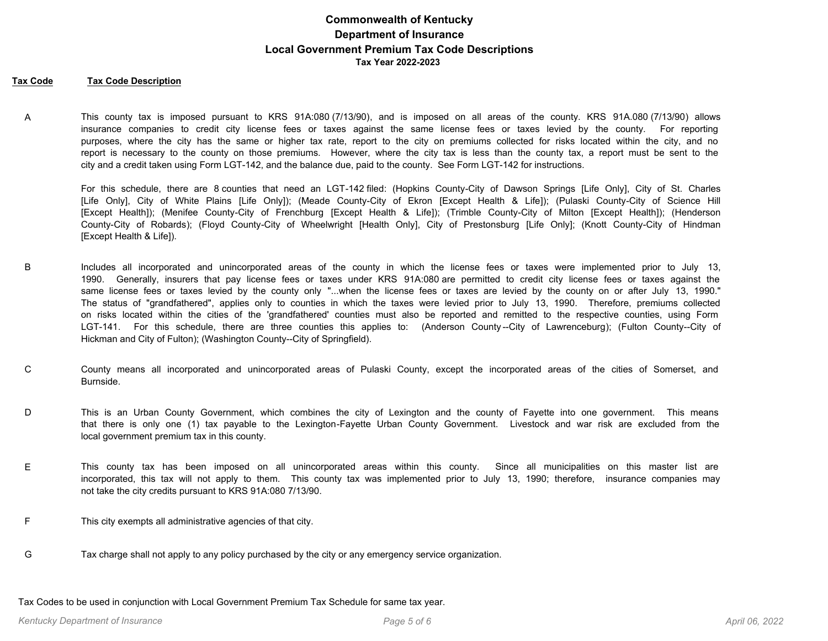#### **Tax Code Tax Code Description**

This county tax is imposed pursuant to KRS 91A:080 (7/13/90), and is imposed on all areas of the county. KRS 91A.080 (7/13/90) allows insurance companies to credit city license fees or taxes against the same license fees or taxes levied by the county. For reporting purposes, where the city has the same or higher tax rate, report to the city on premiums collected for risks located within the city, and no report is necessary to the county on those premiums. However, where the city tax is less than the county tax, a report must be sent to the city and a credit taken using Form LGT-142, and the balance due, paid to the county. See Form LGT-142 for instructions. A

For this schedule, there are 8 counties that need an LGT-142 filed: (Hopkins County-City of Dawson Springs [Life Only], City of St. Charles [Life Only], City of White Plains [Life Only]); (Meade County-City of Ekron [Except Health & Life]); (Pulaski County-City of Science Hill [Except Health]); (Menifee County-City of Frenchburg [Except Health & Life]); (Trimble County-City of Milton [Except Health]); (Henderson County-City of Robards); (Floyd County-City of Wheelwright [Health Only], City of Prestonsburg [Life Only]; (Knott County-City of Hindman [Except Health & Life]).

- Includes all incorporated and unincorporated areas of the county in which the license fees or taxes were implemented prior to July 13, 1990. Generally, insurers that pay license fees or taxes under KRS 91A:080 are permitted to credit city license fees or taxes against the same license fees or taxes levied by the county only "...when the license fees or taxes are levied by the county on or after July 13, 1990." The status of "grandfathered", applies only to counties in which the taxes were levied prior to July 13, 1990. Therefore, premiums collected on risks located within the cities of the 'grandfathered' counties must also be reported and remitted to the respective counties, using Form LGT-141. For this schedule, there are three counties this applies to: (Anderson County--City of Lawrenceburg); (Fulton County--City of Hickman and City of Fulton); (Washington County--City of Springfield). B
- County means all incorporated and unincorporated areas of Pulaski County, except the incorporated areas of the cities of Somerset, and Burnside. C
- This is an Urban County Government, which combines the city of Lexington and the county of Fayette into one government. This means that there is only one (1) tax payable to the Lexington-Fayette Urban County Government. Livestock and war risk are excluded from the local government premium tax in this county. D
- This county tax has been imposed on all unincorporated areas within this county. Since all municipalities on this master list are incorporated, this tax will not apply to them. This county tax was implemented prior to July 13, 1990; therefore, insurance companies may not take the city credits pursuant to KRS 91A:080 7/13/90. E
- F This city exempts all administrative agencies of that city.
- G Tax charge shall not apply to any policy purchased by the city or any emergency service organization.